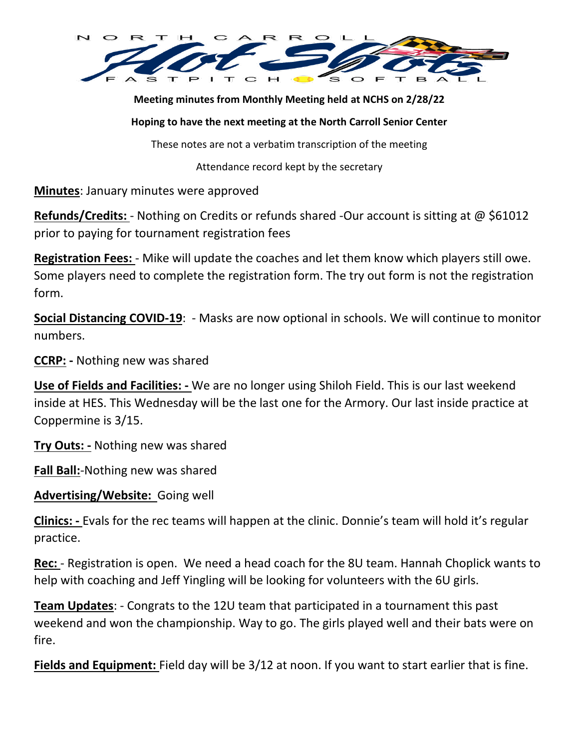

**Meeting minutes from Monthly Meeting held at NCHS on 2/28/22**

#### **Hoping to have the next meeting at the North Carroll Senior Center**

These notes are not a verbatim transcription of the meeting

Attendance record kept by the secretary

**Minutes**: January minutes were approved

**Refunds/Credits:** - Nothing on Credits or refunds shared -Our account is sitting at @ \$61012 prior to paying for tournament registration fees

**Registration Fees:** - Mike will update the coaches and let them know which players still owe. Some players need to complete the registration form. The try out form is not the registration form.

**Social Distancing COVID-19**: - Masks are now optional in schools. We will continue to monitor numbers.

**CCRP: -** Nothing new was shared

**Use of Fields and Facilities: -** We are no longer using Shiloh Field. This is our last weekend inside at HES. This Wednesday will be the last one for the Armory. Our last inside practice at Coppermine is 3/15.

**Try Outs: -** Nothing new was shared

**Fall Ball:**-Nothing new was shared

**Advertising/Website:** Going well

**Clinics: -** Evals for the rec teams will happen at the clinic. Donnie's team will hold it's regular practice.

**Rec:** - Registration is open. We need a head coach for the 8U team. Hannah Choplick wants to help with coaching and Jeff Yingling will be looking for volunteers with the 6U girls.

**Team Updates**: - Congrats to the 12U team that participated in a tournament this past weekend and won the championship. Way to go. The girls played well and their bats were on fire.

**Fields and Equipment:** Field day will be 3/12 at noon. If you want to start earlier that is fine.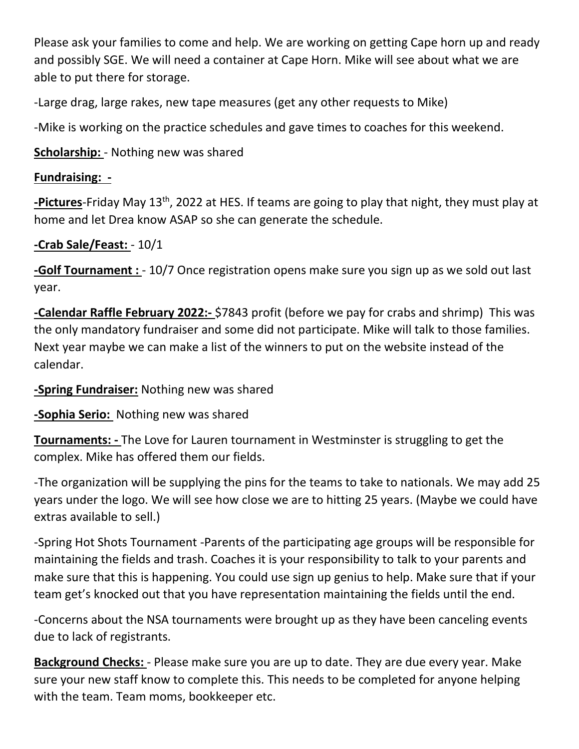Please ask your families to come and help. We are working on getting Cape horn up and ready and possibly SGE. We will need a container at Cape Horn. Mike will see about what we are able to put there for storage.

-Large drag, large rakes, new tape measures (get any other requests to Mike)

-Mike is working on the practice schedules and gave times to coaches for this weekend.

**Scholarship:** - Nothing new was shared

### **Fundraising: -**

**-Pictures**-Friday May 13<sup>th</sup>, 2022 at HES. If teams are going to play that night, they must play at home and let Drea know ASAP so she can generate the schedule.

# **-Crab Sale/Feast:** - 10/1

**-Golf Tournament :** - 10/7 Once registration opens make sure you sign up as we sold out last year.

**-Calendar Raffle February 2022:-** \$7843 profit (before we pay for crabs and shrimp) This was the only mandatory fundraiser and some did not participate. Mike will talk to those families. Next year maybe we can make a list of the winners to put on the website instead of the calendar.

#### **-Spring Fundraiser:** Nothing new was shared

**-Sophia Serio:** Nothing new was shared

**Tournaments: -** The Love for Lauren tournament in Westminster is struggling to get the complex. Mike has offered them our fields.

-The organization will be supplying the pins for the teams to take to nationals. We may add 25 years under the logo. We will see how close we are to hitting 25 years. (Maybe we could have extras available to sell.)

-Spring Hot Shots Tournament -Parents of the participating age groups will be responsible for maintaining the fields and trash. Coaches it is your responsibility to talk to your parents and make sure that this is happening. You could use sign up genius to help. Make sure that if your team get's knocked out that you have representation maintaining the fields until the end.

-Concerns about the NSA tournaments were brought up as they have been canceling events due to lack of registrants.

**Background Checks:** - Please make sure you are up to date. They are due every year. Make sure your new staff know to complete this. This needs to be completed for anyone helping with the team. Team moms, bookkeeper etc.